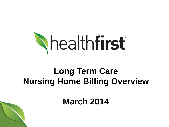

# **Long Term Care Nursing Home Billing Overview**

**March 2014**

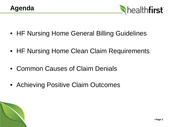

- HF Nursing Home General Billing Guidelines
- HF Nursing Home Clean Claim Requirements
- Common Causes of Claim Denials
- Achieving Positive Claim Outcomes

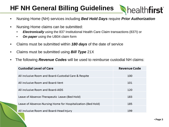## **HF NH General Billing Guidelines**

- Nursing Home (NH) services including *Bed Hold Days* require *Prior Authorization*
- Nursing Home claims can be submitted:
	- *Electronically* using the 837 Institutional Health Care Claim transactions (837I) or
	- *On paper* using the UB04 claim form
- Claims must be submitted within *180 days* of the date of service
- Claims must be submitted using *Bill Type* 21X
- The following *Revenue Codes* will be used to reimburse custodial NH claims:

| <b>Custodial Level of Care</b>                               | <b>Revenue Code</b> |
|--------------------------------------------------------------|---------------------|
|                                                              |                     |
| All inclusive Room and Board-Custodial Care & Respite        | 100                 |
| All inclusive Room and Board-Vent                            | 101                 |
| All inclusive Room and Board-AIDS                            | 120                 |
| Leave of Absence-Therapeutic Leave-(Bed Hold)                | 183                 |
| Leave of Absence-Nursing Home for Hospitalization-(Bed Hold) | 185                 |
| All inclusive Room and Board-Head Injury                     | 199                 |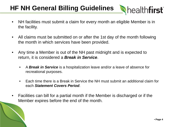## **HF NH General Billing Guidelines**

- NH facilities must submit a claim for every month an eligible Member is in the facility.
- All claims must be submitted on or after the 1st day of the month following the month in which services have been provided.
- Any time a Member is out of the NH past midnight and is expected to return, it is considered a *Break in Service*.
	- A *Break in Service* is a hospitalization leave and/or a leave of absence for recreational purposes.
	- Each time there is a Break in Service the NH must submit an additional claim for each *Statement Covers Period*.
- Facilities can bill for a partial month if the Member is discharged or if the Member expires before the end of the month.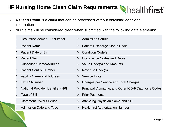#### **HF Nursing Home Clean Claim Requirements**

- A *Clean Claim* is a claim that can be processed without obtaining additional information
- NH claims will be considered clean when submitted with the following data elements:

| $\circ$ | <b>Healthfirst Member ID Number</b> |         | <b>o</b> Admission Source                             |
|---------|-------------------------------------|---------|-------------------------------------------------------|
| $\circ$ | <b>Patient Name</b>                 | $\circ$ | <b>Patient Discharge Status Code</b>                  |
| $\circ$ | <b>Patient Date of Birth</b>        | $\circ$ | <b>Condition Code(s)</b>                              |
| $\circ$ | <b>Patient Sex</b>                  | $\circ$ | Occurrence Codes and Dates                            |
| $\circ$ | <b>Subscriber Name/Address</b>      | $\circ$ | Value Code(s) and Amounts                             |
| $\circ$ | <b>Patient Control Number</b>       | $\circ$ | Revenue Code(s)                                       |
| O       | <b>Facility Name and Address</b>    | $\circ$ | <b>Service Units</b>                                  |
| $\circ$ | <b>Tax ID Number</b>                | $\circ$ | <b>Charges per Service and Total Charges</b>          |
| $\circ$ | National Provider Identifier -NPI   | $\circ$ | Principal, Admitting, and Other ICD-9 Diagnosis Codes |
| $\circ$ | Type of Bill                        | $\circ$ | <b>Prior Payments</b>                                 |
| $\circ$ | <b>Statement Covers Period</b>      | $\circ$ | Attending Physician Name and NPI                      |
| $\circ$ | Admission Date and Type             | $\circ$ | <b>Healthfirst Authorization Number</b>               |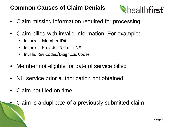#### **Common Causes of Claim Denials**

- Claim missing information required for processing
- Claim billed with invalid information. For example:
	- Incorrect Member ID#
	- Incorrect Provider NPI or TIN#
	- Invalid Rev Codes/Diagnosis Codes
- Member not eligible for date of service billed
- NH service prior authorization not obtained
- Claim not filed on time
	- Claim is a duplicate of a previously submitted claim